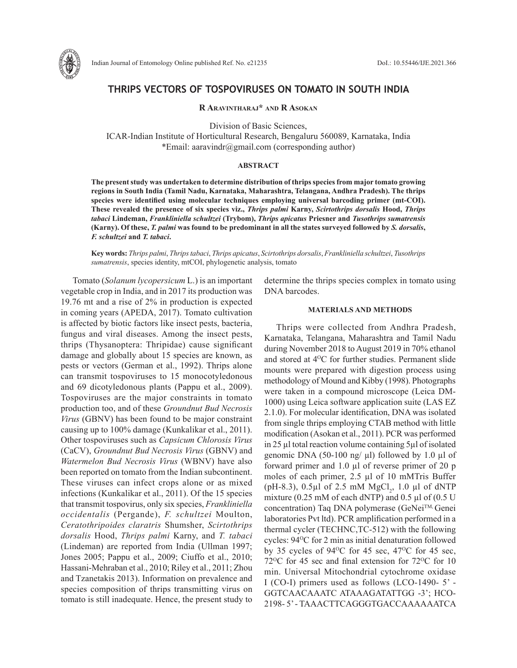

# **THRIPS VECTORS OF TOSPOVIRUSES ON TOMATO IN SOUTH INDIA**

**R Aravintharaj\* and R Asokan**

Division of Basic Sciences,

ICAR-Indian Institute of Horticultural Research, Bengaluru 560089, Karnataka, India \*Email: aaravindr@gmail.com (corresponding author)

### **ABSTRACT**

**The present study was undertaken to determine distribution of thrips species from major tomato growing regions in South India (Tamil Nadu, Karnataka, Maharashtra, Telangana, Andhra Pradesh). The thrips species were identified using molecular techniques employing universal barcoding primer (mt-COI). These revealed the presence of six species viz.,** *Thrips palmi* **Karny,** *Scirtothrips dorsalis* **Hood,** *Thrips tabaci* **Lindeman,** *Frankliniella schultzei* **(Trybom),** *Thrips apicatus* **Priesner and** *Tusothrips sumatrensis* **(Karny). Of these,** *T. palmi* **was found to be predominant in all the states surveyed followed by** *S. dorsalis***,**  *F. schultzei* **and** *T. tabaci***.**

**Key words:** *Thrips palmi*, *Thrips tabaci*, *Thrips apicatus*, *Scirtothrips dorsalis*, *Frankliniella schultzei*, *Tusothrips sumatrensis*, species identity, mtCOI, phylogenetic analysis, tomato

Tomato (*Solanum lycopersicum* L.) is an important vegetable crop in India, and in 2017 its production was 19.76 mt and a rise of 2% in production is expected in coming years (APEDA, 2017). Tomato cultivation is affected by biotic factors like insect pests, bacteria, fungus and viral diseases. Among the insect pests, thrips (Thysanoptera: Thripidae) cause significant damage and globally about 15 species are known, as pests or vectors (German et al., 1992). Thrips alone can transmit tospoviruses to 15 monocotyledonous and 69 dicotyledonous plants (Pappu et al., 2009). Tospoviruses are the major constraints in tomato production too, and of these *Groundnut Bud Necrosis Virus* (GBNV) has been found to be major constraint causing up to 100% damage (Kunkalikar et al., 2011). Other tospoviruses such as *Capsicum Chlorosis Virus* (CaCV), *Groundnut Bud Necrosis Virus* (GBNV) and *Watermelon Bud Necrosis Virus* (WBNV) have also been reported on tomato from the Indian subcontinent. These viruses can infect crops alone or as mixed infections (Kunkalikar et al., 2011). Of the 15 species that transmit tospovirus, only six species, *Frankliniella occidentalis* (Pergande), *F. schultzei* Moulton, *Ceratothripoides claratris* Shumsher, *Scirtothrips dorsalis* Hood, *Thrips palmi* Karny, and *T. tabaci* (Lindeman) are reported from India (Ullman 1997; Jones 2005; Pappu et al., 2009; Ciuffo et al., 2010; Hassani-Mehraban et al., 2010; Riley et al., 2011; Zhou and Tzanetakis 2013). Information on prevalence and species composition of thrips transmitting virus on tomato is still inadequate. Hence, the present study to determine the thrips species complex in tomato using DNA barcodes.

## **MATERIALS AND METHODS**

Thrips were collected from Andhra Pradesh, Karnataka, Telangana, Maharashtra and Tamil Nadu during November 2018 to August 2019 in 70% ethanol and stored at 4<sup>o</sup>C for further studies. Permanent slide mounts were prepared with digestion process using methodology of Mound and Kibby (1998). Photographs were taken in a compound microscope (Leica DM-1000) using Leica software application suite (LAS EZ 2.1.0). For molecular identification, DNA was isolated from single thrips employing CTAB method with little modification (Asokan et al., 2011). PCR was performed in 25 µl total reaction volume containing 5µl of isolated genomic DNA (50-100 ng/ $\mu$ l) followed by 1.0  $\mu$ l of forward primer and 1.0 µl of reverse primer of 20 p moles of each primer, 2.5 µl of 10 mMTris Buffer (pH-8.3),  $0.5 \mu$ l of 2.5 mM  $MgCl_2$ , 1.0  $\mu$ l of dNTP mixture (0.25 mM of each dNTP) and 0.5  $\mu$ l of (0.5 U concentration) Taq DNA polymerase (GeNei™, Genei laboratories Pvt ltd). PCR amplification performed in a thermal cycler (TECHNC,TC-512) with the following cycles:  $94^{\circ}$ C for 2 min as initial denaturation followed by 35 cycles of  $94^{\circ}$ C for 45 sec,  $47^{\circ}$ C for 45 sec,  $72^{\circ}$ C for 45 sec and final extension for  $72^{\circ}$ C for 10 min. Universal Mitochondrial cytochrome oxidase I (CO-I) primers used as follows (LCO-1490- 5' - GGTCAACAAATC ATAAAGATATTGG -3'; HCO-2198- 5' - TAAACTTCAGGGTGACCAAAAAATCA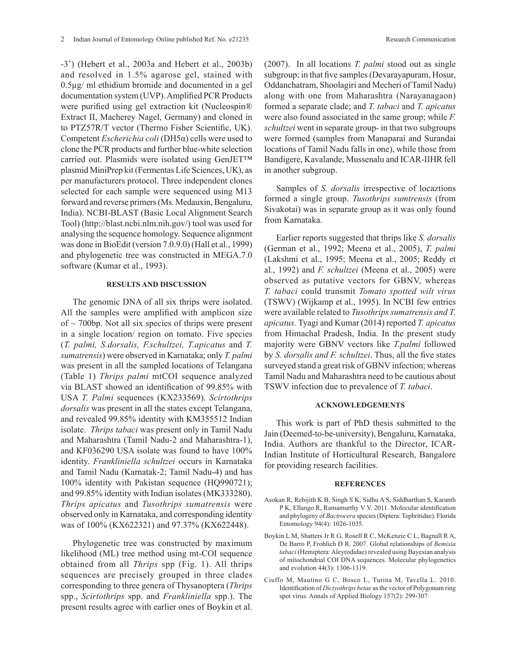-3') (Hebert et al., 2003a and Hebert et al., 2003b) and resolved in 1.5% agarose gel, stained with 0.5µg/ ml ethidium bromide and documented in a gel documentation system (UVP). Amplified PCR Products were purified using gel extraction kit (Nucleospin® Extract II, Macherey Nagel, Germany) and cloned in to PTZ57R/T vector (Thermo Fisher Scientific, UK). Competent *Escherichia coli* (DH5α) cells were used to clone the PCR products and further blue-white selection carried out. Plasmids were isolated using GenJET™ plasmid MiniPrep kit (Fermentas Life Sciences, UK), as per manufacturers protocol. Three independent clones selected for each sample were sequenced using M13 forward and reverse primers (Ms. Medauxin, Bengaluru, India). NCBI-BLAST (Basic Local Alignment Search Tool) (http://blast.ncbi.nlm.nih.gov/) tool was used for analysing the sequence homology. Sequence alignment was done in BioEdit (version 7.0.9.0) (Hall et al., 1999) and phylogenetic tree was constructed in MEGA.7.0 software (Kumar et al., 1993).

#### **RESULTS AND DISCUSSION**

The genomic DNA of all six thrips were isolated. All the samples were amplified with amplicon size of  $\sim$  700bp. Not all six species of thrips were present in a single location/ region on tomato. Five species (*T. palmi, S.dorsalis, F.schultzei, T.apicatus* and *T. sumatrensis*) were observed in Karnataka; only *T. palmi* was present in all the sampled locations of Telangana (Table 1) *Thrips palmi* mtCOI sequence analyzed via BLAST showed an identification of 99.85% with USA *T. Palmi* sequences (KX233569). *Scirtothrips dorsalis* was present in all the states except Telangana, and revealed 99.85% identity with KM355512 Indian isolate. *Thrips tabaci* was present only in Tamil Nadu and Maharashtra (Tamil Nadu-2 and Maharashtra-1), and KF036290 USA isolate was found to have 100% identity. *Frankliniella schultzei* occurs in Karnataka and Tamil Nadu (Karnatak-2; Tamil Nadu-4) and has 100% identity with Pakistan sequence (HQ990721); and 99.85% identity with Indian isolates (MK333280). *Thrips apicatus* and *Tusothrips sumatrensis* were observed only in Karnataka, and corresponding identity was of 100% (KX622321) and 97.37% (KX622448).

Phylogenetic tree was constructed by maximum likelihood (ML) tree method using mt-COI sequence obtained from all *Thrips* spp (Fig. 1). All thrips sequences are precisely grouped in three clades corresponding to three genera of Thysanoptera (*Thrips* spp., *Scirtothrips* spp. and *Frankliniella* spp.). The present results agree with earlier ones of Boykin et al.

(2007). In all locations *T. palmi* stood out as single subgroup; in that five samples (Devarayapuram, Hosur, Oddanchatram, Shoolagiri and Mecheri of Tamil Nadu) along with one from Maharashtra (Narayanagaon) formed a separate clade; and *T. tabaci* and *T. apicatus* were also found associated in the same group; while *F. schultzei* went in separate group- in that two subgroups were formed (samples from Manaparai and Surandai locations of Tamil Nadu falls in one), while those from Bandigere, Kavalande, Mussenalu and ICAR-IIHR fell in another subgroup.

Samples of *S. dorsalis* irrespective of locaztions formed a single group. *Tusothrips sumtrensis* (from Sivakotai) was in separate group as it was only found from Karnataka.

Earlier reports suggested that thrips like *S. dorsalis*  (German et al., 1992; Meena et al., 2005), *T. palmi*  (Lakshmi et al., 1995; Meena et al., 2005; Reddy et al., 1992) and *F. schultzei* (Meena et al., 2005) were observed as putative vectors for GBNV, whereas *T. tabaci* could transmit *Tomato spotted wilt virus*  (TSWV) (Wijkamp et al., 1995). In NCBI few entries were available related to *Tusothrips sumatrensis and T. apicatus.* Tyagi and Kumar (2014) reported *T. apicatus*  from Himachal Pradesh, India. In the present study majority were GBNV vectors like *T.palmi* followed by *S. dorsalis and F. schultzei*. Thus, all the five states surveyed stand a great risk of GBNV infection; whereas Tamil Nadu and Maharashtra need to be cautious about TSWV infection due to prevalence of *T. tabaci*.

#### **ACKNOWLEDGEMENTS**

This work is part of PhD thesis submitted to the Jain (Deemed-to-be-university), Bengaluru, Karnataka, India. Authors are thankful to the Director, ICAR-Indian Institute of Horticultural Research, Bangalore for providing research facilities.

#### **REFERENCES**

- Asokan R, Rebijith K B, Singh S K, Sidhu A S, Siddharthan S, Karanth P K, Ellango R, Ramamurthy V V. 2011. Molecular identification and phylogeny of *Bactrocera* species (Diptera: Tephritidae). Florida Entomology 94(4): 1026-1035.
- Boykin L M, Shatters Jr R G, Rosell R C, McKenzie C L, Bagnall R A, De Barro P, Frohlich D R. 2007. Global relationships of *Bemisia tabaci* (Hemiptera: Aleyrodidae) revealed using Bayesian analysis of mitochondrial COI DNA sequences. Molecular phylogenetics and evolution 44(3): 1306-1319.
- Ciuffo M, Mautino G C, Bosco L, Turina M, Tavella L. 2010. Identification of *Dictyothrips betae* as the vector of Polygonum ring spot virus. Annals of Applied Biology 157(2): 299-307.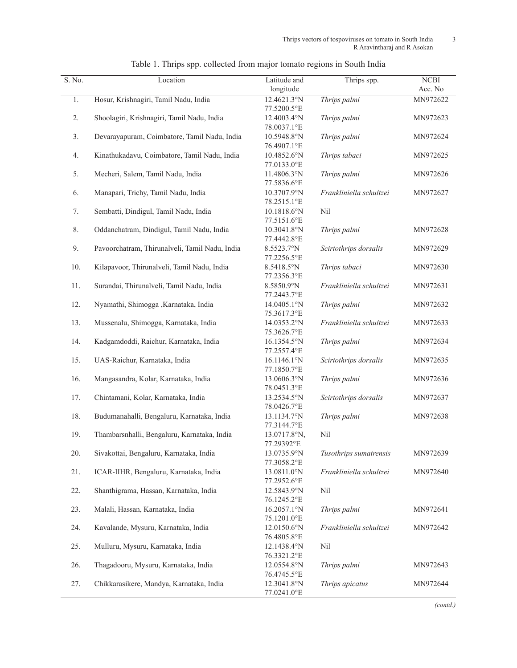| S. No. | Location                                       | Latitude and                        | Thrips spp.             | <b>NCBI</b> |
|--------|------------------------------------------------|-------------------------------------|-------------------------|-------------|
|        |                                                | longitude                           |                         | Acc. No     |
| 1.     | Hosur, Krishnagiri, Tamil Nadu, India          | 12.4621.3°N<br>77.5200.5°E          | Thrips palmi            | MN972622    |
| 2.     | Shoolagiri, Krishnagiri, Tamil Nadu, India     | 12.4003.4°N<br>78.0037.1°E          | Thrips palmi            | MN972623    |
| 3.     | Devarayapuram, Coimbatore, Tamil Nadu, India   | 10.5948.8°N<br>76.4907.1°E          | Thrips palmi            | MN972624    |
| 4.     | Kinathukadavu, Coimbatore, Tamil Nadu, India   | 10.4852.6°N<br>77.0133.0°E          | Thrips tabaci           | MN972625    |
| 5.     | Mecheri, Salem, Tamil Nadu, India              | 11.4806.3°N<br>77.5836.6°E          | Thrips palmi            | MN972626    |
| 6.     | Manapari, Trichy, Tamil Nadu, India            | 10.3707.9°N<br>78.2515.1°E          | Frankliniella schultzei | MN972627    |
| 7.     | Sembatti, Dindigul, Tamil Nadu, India          | $10.1818.6^{\circ}N$<br>77.5151.6°E | Nil                     |             |
| 8.     | Oddanchatram, Dindigul, Tamil Nadu, India      | 10.3041.8°N<br>77.4442.8°E          | Thrips palmi            | MN972628    |
| 9.     | Pavoorchatram, Thirunalveli, Tamil Nadu, India | 8.5523.7°N<br>77.2256.5°E           | Scirtothrips dorsalis   | MN972629    |
| 10.    | Kilapavoor, Thirunalveli, Tamil Nadu, India    | 8.5418.5°N<br>77.2356.3°E           | Thrips tabaci           | MN972630    |
| 11.    | Surandai, Thirunalveli, Tamil Nadu, India      | 8.5850.9°N<br>77.2443.7°E           | Frankliniella schultzei | MN972631    |
| 12.    | Nyamathi, Shimogga ,Karnataka, India           | 14.0405.1°N<br>75.3617.3°E          | Thrips palmi            | MN972632    |
| 13.    | Mussenalu, Shimogga, Karnataka, India          | 14.0353.2°N<br>75.3626.7°E          | Frankliniella schultzei | MN972633    |
| 14.    | Kadgamdoddi, Raichur, Karnataka, India         | 16.1354.5°N<br>77.2557.4°E          | Thrips palmi            | MN972634    |
| 15.    | UAS-Raichur, Karnataka, India                  | 16.1146.1°N<br>77.1850.7°E          | Scirtothrips dorsalis   | MN972635    |
| 16.    | Mangasandra, Kolar, Karnataka, India           | 13.0606.3°N<br>78.0451.3°E          | Thrips palmi            | MN972636    |
| 17.    | Chintamani, Kolar, Karnataka, India            | 13.2534.5°N<br>78.0426.7°E          | Scirtothrips dorsalis   | MN972637    |
| 18.    | Budumanahalli, Bengaluru, Karnataka, India     | 13.1134.7°N<br>77.3144.7°E          | Thrips palmi            | MN972638    |
| 19.    | Thambarsnhalli, Bengaluru, Karnataka, India    | 13.0717.8°N,<br>77.29392°E          | Nil                     |             |
| 20.    | Sivakottai, Bengaluru, Karnataka, India        | 13.0735.9°N<br>77.3058.2°E          | Tusothrips sumatrensis  | MN972639    |
| 21.    | ICAR-IIHR, Bengaluru, Karnataka, India         | 13.0811.0°N<br>77.2952.6°E          | Frankliniella schultzei | MN972640    |
| 22.    | Shanthigrama, Hassan, Karnataka, India         | 12.5843.9°N<br>76.1245.2°E          | Nil                     |             |
| 23.    | Malali, Hassan, Karnataka, India               | 16.2057.1°N<br>75.1201.0°E          | Thrips palmi            | MN972641    |
| 24.    | Kavalande, Mysuru, Karnataka, India            | 12.0150.6°N<br>76.4805.8°E          | Frankliniella schultzei | MN972642    |
| 25.    | Mulluru, Mysuru, Karnataka, India              | 12.1438.4°N<br>76.3321.2°E          | Nil                     |             |
| 26.    | Thagadooru, Mysuru, Karnataka, India           | 12.0554.8°N<br>76.4745.5°E          | Thrips palmi            | MN972643    |
| 27.    | Chikkarasikere, Mandya, Karnataka, India       | 12.3041.8°N<br>77.0241.0°E          | Thrips apicatus         | MN972644    |

| Table 1. Thrips spp. collected from major tomato regions in South India |
|-------------------------------------------------------------------------|
|-------------------------------------------------------------------------|

*(contd.)*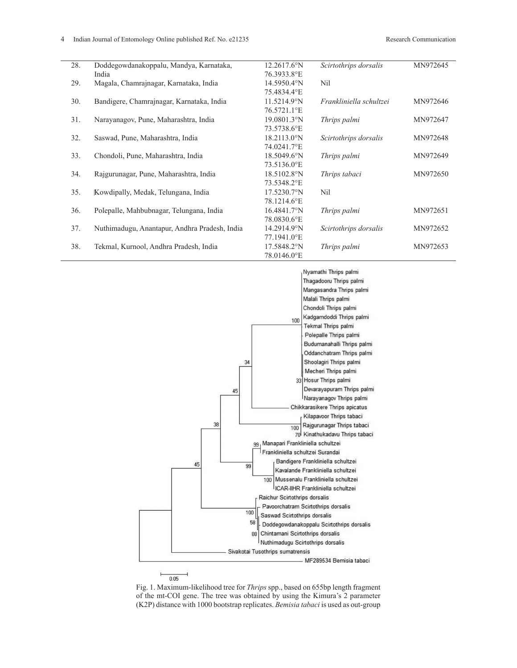| 28. | Doddegowdanakoppalu, Mandya, Karnataka,       | 12.2617.6°N          | Scirtothrips dorsalis   | MN972645 |
|-----|-----------------------------------------------|----------------------|-------------------------|----------|
|     | India                                         | 76.3933.8°E          |                         |          |
| 29. | Magala, Chamrajnagar, Karnataka, India        | 14.5950.4°N          | Nil                     |          |
|     |                                               | 75.4834.4°E          |                         |          |
| 30. | Bandigere, Chamrajnagar, Karnataka, India     | 11.5214.9°N          | Frankliniella schultzei | MN972646 |
|     |                                               | 76.5721.1°E          |                         |          |
| 31. | Narayanagov, Pune, Maharashtra, India         | $19.0801.3^{\circ}N$ | Thrips palmi            | MN972647 |
|     |                                               | 73.5738.6°E          |                         |          |
| 32. | Saswad, Pune, Maharashtra, India              | 18.2113.0°N          | Scirtothrips dorsalis   | MN972648 |
|     |                                               | 74.0241.7°E          |                         |          |
| 33. | Chondoli, Pune, Maharashtra, India            | 18.5049.6°N          | Thrips palmi            | MN972649 |
|     |                                               | 73.5136.0°E          |                         |          |
| 34. | Rajgurunagar, Pune, Maharashtra, India        | 18.5102.8°N          | Thrips tabaci           | MN972650 |
|     |                                               | 73.5348.2°E          |                         |          |
| 35. | Kowdipally, Medak, Telungana, India           | 17.5230.7°N          | Nil                     |          |
|     |                                               | 78.1214.6°E          |                         |          |
| 36. | Polepalle, Mahbubnagar, Telungana, India      | $16.4841.7^{\circ}N$ | Thrips palmi            | MN972651 |
|     |                                               | 78.0830.6°E          |                         |          |
| 37. | Nuthimadugu, Anantapur, Andhra Pradesh, India | 14.2914.9°N          | Scirtothrips dorsalis   | MN972652 |
|     |                                               | 77.1941.0°E          |                         |          |
| 38. | Tekmal, Kurnool, Andhra Pradesh, India        | 17.5848.2°N          | Thrips palmi            | MN972653 |
|     |                                               | 78.0146.0°E          |                         |          |
|     |                                               |                      |                         |          |



Fig. 1. Maximum-likelihood tree for *Thrips* spp., based on 655bp length fragment of the mt-COI gene. The tree was obtained by using the Kimura's 2 parameter (K2P) distance with 1000 bootstrap replicates. *Bemisia tabaci* is used as out-group